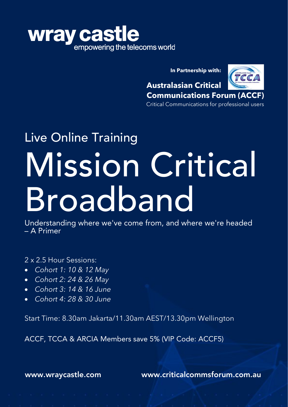

**In Partnership with:**



**Australasian Critical Communications Forum (ACCF)**

Critical Communications for professional users

# Live Online Training Mission Critical Broadband

Understanding where we've come from, and where we're headed – A Primer

2 x 2.5 Hour Sessions:

- *Cohort 1: 10 & 12 May*
- *Cohort 2: 24 & 26 May*
- *Cohort 3: 14 & 16 June*
- *Cohort 4: 28 & 30 June*

Start Time: 8.30am Jakarta/11.30am AEST/13.30pm Wellington

ACCF, TCCA & ARCIA Members save 5% (VIP Code: ACCF5)

[www.wraycastle.com](http://www.wraycastle.com/) [www.criticalcommsforum.com.au](http://www.criticalcommsforum.com.au/)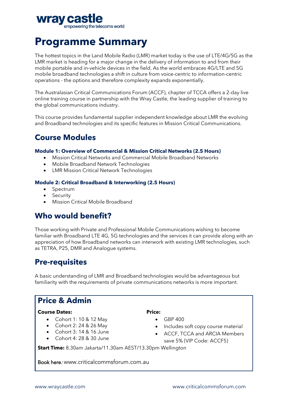

## **Programme Summary**

The hottest topics in the Land Mobile Radio (LMR) market today is the use of LTE/4G/5G as the LMR market is heading for a major change in the delivery of information to and from their mobile portable and in-vehicle devices in the field. As the world embraces 4G/LTE and 5G mobile broadband technologies a shift in culture from voice-centric to information-centric operations - the options and therefore complexity expands exponentially.

The Australasian Critical Communications Forum (ACCF), chapter of TCCA offers a 2-day live online training course in partnership with the Wray Castle, the leading supplier of training to the global communications industry.

This course provides fundamental supplier independent knowledge about LMR the evolving and Broadband technologies and its specific features in Mission Critical Communications.

## **Course Modules**

#### **Module 1: Overview of Commercial & Mission Critical Networks (2.5 Hours)**

- Mission Critical Networks and Commercial Mobile Broadband Networks
- Mobile Broadband Network Technologies
- LMR Mission Critical Network Technologies

#### **Module 2: Critical Broadband & Interworking (2.5 Hours)**

- **Spectrum**
- **Security**
- Mission Critical Mobile Broadband

## **Who would benefit?**

Those working with Private and Professional Mobile Communications wishing to become familiar with Broadband LTE 4G, 5G technologies and the services it can provide along with an appreciation of how Broadband networks can interwork with existing LMR technologies, such as TETRA, P25, DMR and Analogue systems.

## **Pre-requisites**

A basic understanding of LMR and Broadband technologies would be advantageous but familiarity with the requirements of private communications networks is more important.

## **Price & Admin**

#### **Course Dates:**

- Cohort 1:  $10 & 12$  May
- Cohort 2: 24 & 26 May
- Cohort  $3: 14 & 16$  June
- Cohort 4: 28 & 30 June

#### **Price:**

- GBP 400
- Includes soft copy course material
- ACCF, TCCA and ARCIA Members save 5% (VIP Code: ACCF5)

**Start Time:** 8.30am Jakarta/11.30am AEST/13.30pm Wellington

Book here: [www.criticalcommsforum.com.au](http://www.criticalcommsforum.com.au)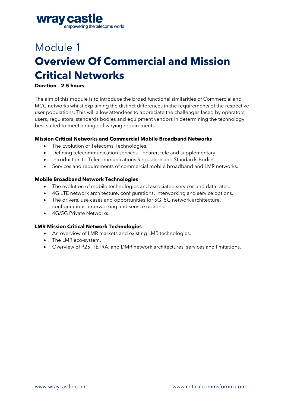

# Module 1 **Overview Of Commercial and Mission Critical Networks**

#### **Duration – 2.5 hours**

The aim of this module is to introduce the broad functional similarities of Commercial and MCC networks whilst explaining the distinct differences in the requirements of the respective user populations. This will allow attendees to appreciate the challenges faced by operators, users, regulators, standards bodies and equipment vendors in determining the technology best suited to meet a range of varying requirements.

#### **Mission Critical Networks and Commercial Mobile Broadband Networks**

- The Evolution of Telecoms Technologies.
- Defining telecommunication services bearer, tele and supplementary.
- Introduction to Telecommunications Regulation and Standards Bodies.
- Services and requirements of commercial mobile broadband and LMR networks.

#### **Mobile Broadband Network Technologies**

- The evolution of mobile technologies and associated services and data rates.
- 4G LTE network architecture, configurations, interworking and service options.
- The drivers, use cases and opportunities for 5G. 5G network architecture, configurations, interworking and service options.
- 4G/5G Private Networks.

#### **LMR Mission Critical Network Technologies**

- An overview of LMR markets and existing LMR technologies.
- The LMR eco-system.
- Overview of P25, TETRA, and DMR network architectures, services and limitations.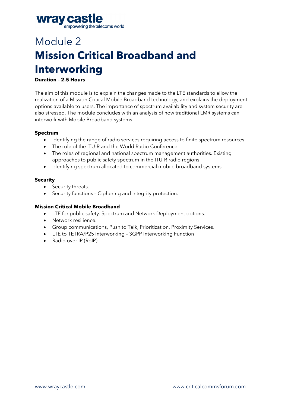

# Module 2 **Mission Critical Broadband and Interworking**

#### **Duration – 2.5 Hours**

The aim of this module is to explain the changes made to the LTE standards to allow the realization of a Mission Critical Mobile Broadband technology, and explains the deployment options available to users. The importance of spectrum availability and system security are also stressed. The module concludes with an analysis of how traditional LMR systems can interwork with Mobile Broadband systems.

#### **Spectrum**

- Identifying the range of radio services requiring access to finite spectrum resources.
- The role of the ITU-R and the World Radio Conference.
- The roles of regional and national spectrum management authorities. Existing approaches to public safety spectrum in the ITU-R radio regions.
- Identifying spectrum allocated to commercial mobile broadband systems.

#### **Security**

- Security threats.
- Security functions Ciphering and integrity protection.

#### **Mission Critical Mobile Broadband**

- LTE for public safety. Spectrum and Network Deployment options.
- Network resilience.
- Group communications, Push to Talk, Prioritization, Proximity Services.
- LTE to TETRA/P25 interworking 3GPP Interworking Function
- Radio over IP (RoIP).